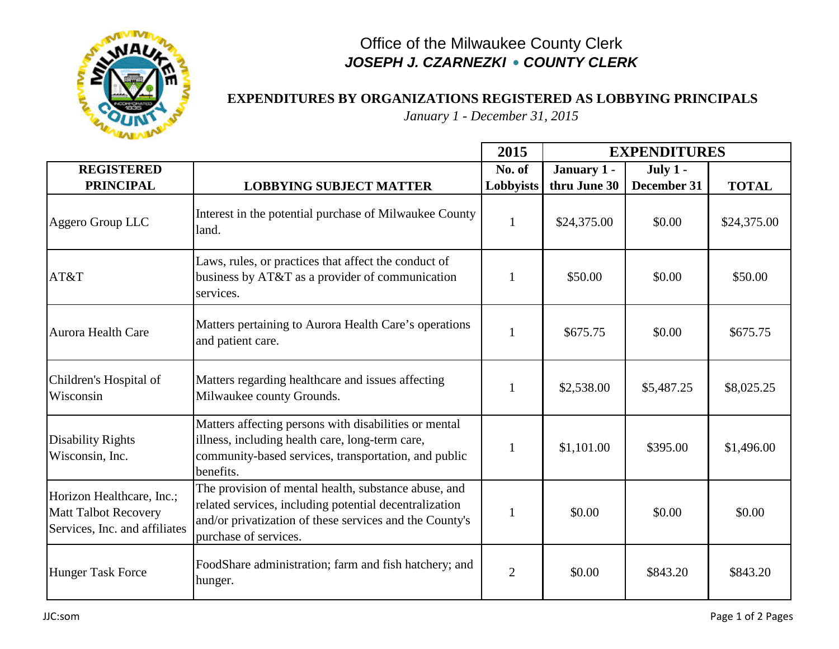

## Office of the Milwaukee County Clerk *JOSEPH J. CZARNEZKI* **•** *COUNTY CLERK*

## **EXPENDITURES BY ORGANIZATIONS REGISTERED AS LOBBYING PRINCIPALS**

*January 1 - December 31, 2015*

|                                                                                           |                                                                                                                                                                                                    | 2015             | <b>EXPENDITURES</b> |             |              |
|-------------------------------------------------------------------------------------------|----------------------------------------------------------------------------------------------------------------------------------------------------------------------------------------------------|------------------|---------------------|-------------|--------------|
| <b>REGISTERED</b>                                                                         |                                                                                                                                                                                                    | No. of           | January 1 -         | July $1 -$  |              |
| <b>PRINCIPAL</b>                                                                          | <b>LOBBYING SUBJECT MATTER</b>                                                                                                                                                                     | <b>Lobbyists</b> | thru June 30        | December 31 | <b>TOTAL</b> |
| Aggero Group LLC                                                                          | Interest in the potential purchase of Milwaukee County<br>land.                                                                                                                                    | $\mathbf{1}$     | \$24,375.00         | \$0.00      | \$24,375.00  |
| AT&T                                                                                      | Laws, rules, or practices that affect the conduct of<br>business by AT&T as a provider of communication<br>services.                                                                               |                  | \$50.00             | \$0.00      | \$50.00      |
| Aurora Health Care                                                                        | Matters pertaining to Aurora Health Care's operations<br>and patient care.                                                                                                                         |                  | \$675.75            | \$0.00      | \$675.75     |
| Children's Hospital of<br>Wisconsin                                                       | Matters regarding healthcare and issues affecting<br>Milwaukee county Grounds.                                                                                                                     |                  | \$2,538.00          | \$5,487.25  | \$8,025.25   |
| <b>Disability Rights</b><br>Wisconsin, Inc.                                               | Matters affecting persons with disabilities or mental<br>illness, including health care, long-term care,<br>community-based services, transportation, and public<br>benefits.                      |                  | \$1,101.00          | \$395.00    | \$1,496.00   |
| Horizon Healthcare, Inc.;<br><b>Matt Talbot Recovery</b><br>Services, Inc. and affiliates | The provision of mental health, substance abuse, and<br>related services, including potential decentralization<br>and/or privatization of these services and the County's<br>purchase of services. |                  | \$0.00              | \$0.00      | \$0.00       |
| <b>Hunger Task Force</b>                                                                  | FoodShare administration; farm and fish hatchery; and<br>hunger.                                                                                                                                   | $\overline{2}$   | \$0.00              | \$843.20    | \$843.20     |